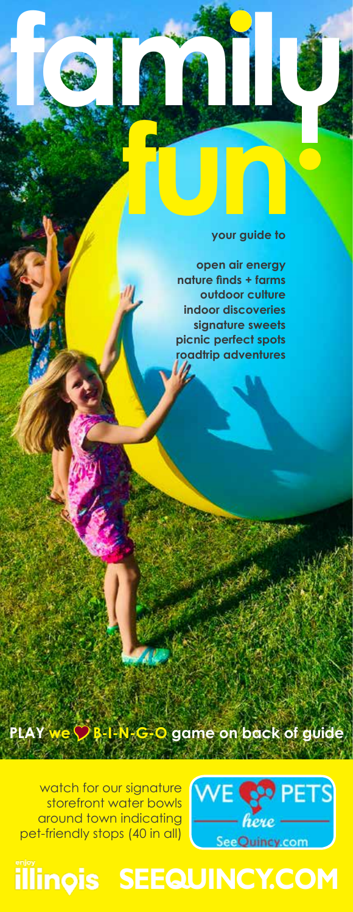# **function**<br>your guide to **your guide to**

**open air energy nature finds + farms outdoor culture indoor discoveries signature sweets picnic perfect spots roadtrip adventures**

**familu**

watch for our signature storefront water bowls around town indicating pet-friendly stops (40 in all)

-



# illinois SEEQUINCY.COM

**PLAY we B-I-N-G-O game on back of guide** Y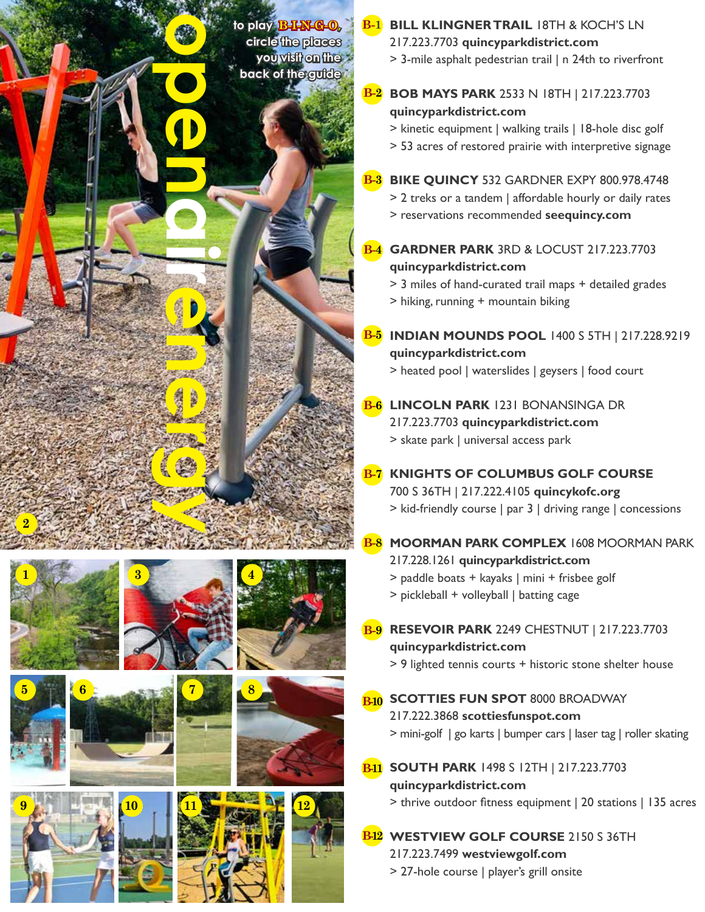



















## **BILL KLINGNER TRAIL** 18TH & KOCH'S LN **B-1** 217.223.7703 **quincyparkdistrict.com**

> 3-mile asphalt pedestrian trail | n 24th to riverfront

**BOB MAYS PARK** 2533 N 18TH | 217.223.7703 **quincyparkdistrict.com B-2**

> kinetic equipment | walking trails | 18-hole disc golf > 53 acres of restored prairie with interpretive signage

# **BIKE QUINCY** 532 GARDNER EXPY 800.978.4748 **B-3**

> 2 treks or a tandem | affordable hourly or daily rates > reservations recommended **seequincy.com**

**GARDNER PARK** 3RD & LOCUST 217.223.7703 **quincyparkdistrict.com B-4**

> 3 miles of hand-curated trail maps + detailed grades > hiking, running + mountain biking

- **INDIAN MOUNDS POOL** 1400 S 5TH | 217.228.9219 **B-5 quincyparkdistrict.com** > heated pool | waterslides | geysers | food court
- <mark>B-6</mark> LINCOLN PARK 1231 BONANSINGA DR 217.223.7703 **quincyparkdistrict.com** > skate park | universal access park
- **KNIGHTS OF COLUMBUS GOLF COURSE** 700 S 36TH | 217.222.4105 **quincykofc.org** > kid-friendly course | par 3 | driving range | concessions **B-7**
- **MOORMAN PARK COMPLEX** 1608 MOORMAN PARK 217.228.1261 **quincyparkdistrict.com** > paddle boats + kayaks | mini + frisbee golf **B-8**
	- > pickleball + volleyball | batting cage
- **RESEVOIR PARK** 2249 CHESTNUT | 217.223.7703 **B-9 quincyparkdistrict.com**
	- > 9 lighted tennis courts + historic stone shelter house
- **B-10** SCOTTIES FUN SPOT 8000 BROADWAY 217.222.3868 **scottiesfunspot.com** > mini-golf | go karts | bumper cars | laser tag | roller skating
- **SOUTH PARK** 1498 S 12TH | 217.223.7703 **B-11 quincyparkdistrict.com** > thrive outdoor fitness equipment | 20 stations | 135 acres
- **WESTVIEW GOLF COURSE** 2150 S 36TH **B-12** 217.223.7499 **westviewgolf.com**
	- > 27-hole course | player's grill onsite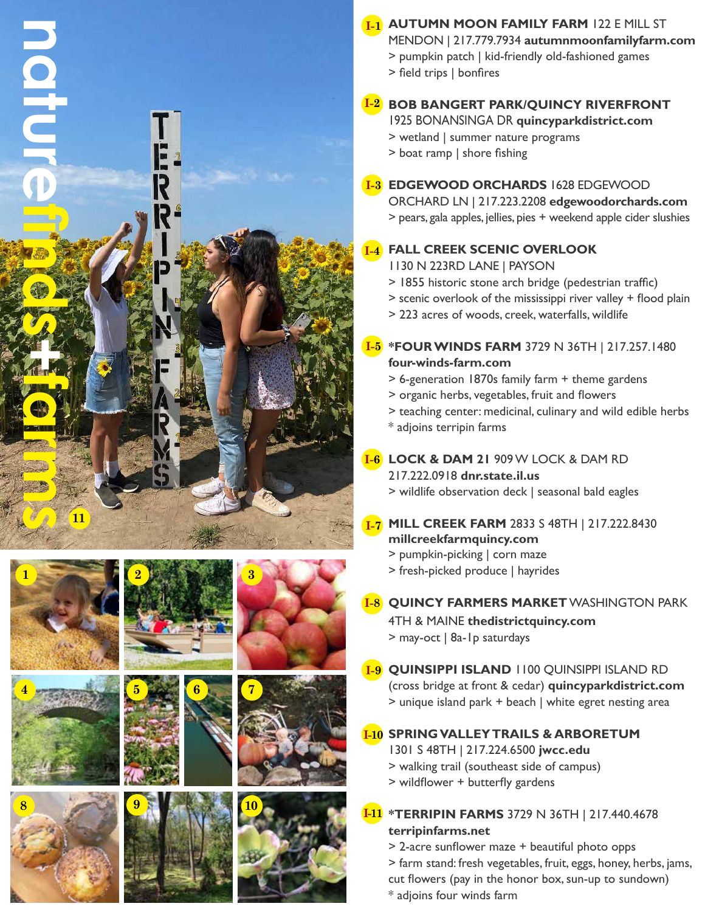



















## **AUTUMN MOON FAMILY FARM** 122 E MILL ST **I-1**

MENDON | 217.779.7934 **autumnmoonfamilyfarm.com**

- > pumpkin patch | kid-friendly old-fashioned games
- > field trips | bonfires

# **BOB BANGERT PARK/QUINCY RIVERFRONT I-2**

1925 BONANSINGA DR **quincyparkdistrict.com**

- > wetland | summer nature programs
- > boat ramp | shore fishing

## **EDGEWOOD ORCHARDS** 1628 EDGEWOOD **I-3**

ORCHARD LN | 217.223.2208 **edgewoodorchards.com** > pears, gala apples, jellies, pies + weekend apple cider slushies

## **FALL CREEK SCENIC OVERLOOK I-4**

- 1130 N 223RD LANE | PAYSON
- > 1855 historic stone arch bridge (pedestrian traffic)
- > scenic overlook of the mississippi river valley + flood plain
- > 223 acres of woods, creek, waterfalls, wildlife

## **\*FOUR WINDS FARM** 3729 N 36TH | 217.257.1480 **I-5 four-winds-farm.com**

- > 6-generation 1870s family farm + theme gardens
- > organic herbs, vegetables, fruit and flowers
- > teaching center: medicinal, culinary and wild edible herbs
- \* adjoins terripin farms

## **LOCK & DAM 21** 909 W LOCK & DAM RD **I-6**

## 217.222.0918 **dnr.state.il.us**

> wildlife observation deck | seasonal bald eagles

## **MILL CREEK FARM** 2833 S 48TH | 217.222.8430 **I-7 millcreekfarmquincy.com**

- > pumpkin-picking | corn maze
- > fresh-picked produce | hayrides
- **QUINCY FARMERS MARKET** WASHINGTON PARK **I-8**

4TH & MAINE **thedistrictquincy.com** > may-oct | 8a-1p saturdays

**QUINSIPPI ISLAND** 1100 QUINSIPPI ISLAND RD **I-9** (cross bridge at front & cedar) **quincyparkdistrict.com** > unique island park + beach | white egret nesting area

# **SPRING VALLEY TRAILS & ARBORETUM I-10**

1301 S 48TH | 217.224.6500 **jwcc.edu**

- > walking trail (southeast side of campus)
- > wildflower + butterfly gardens

## **\*TERRIPIN FARMS** 3729 N 36TH | 217.440.4678 **I-11 terripinfarms.net**

- > 2-acre sunflower maze + beautiful photo opps
- > farm stand: fresh vegetables, fruit, eggs, honey, herbs, jams,
- cut flowers (pay in the honor box, sun-up to sundown)
- \* adjoins four winds farm
- 

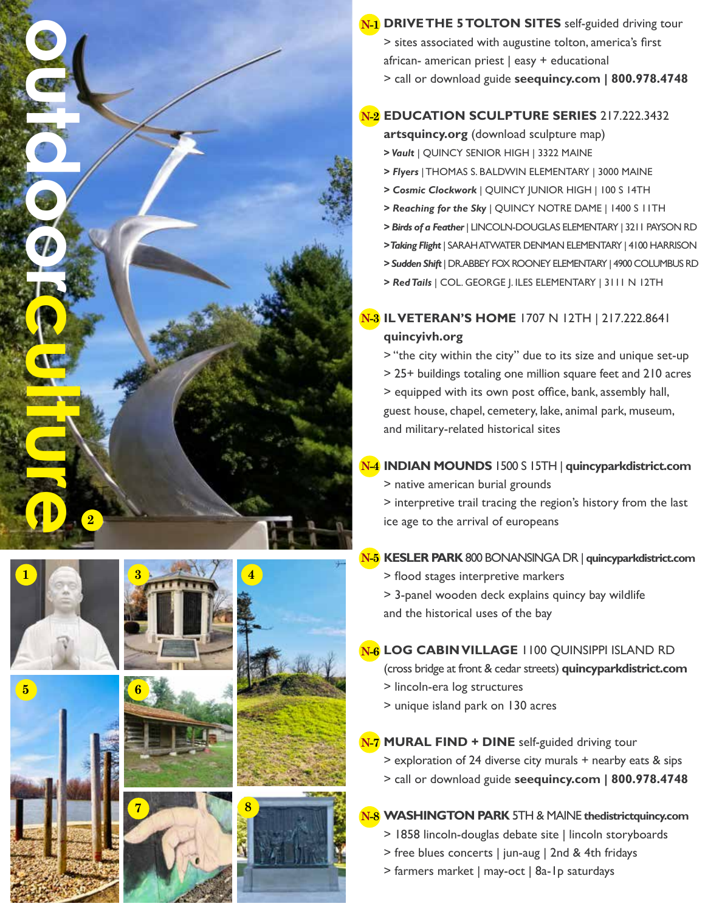

## **EDUCATION SCULPTURE SERIES** 217.222.3432 **N-2**

**artsquincy.org** (download sculpture map)

- **>** *Vault* | QUINCY SENIOR HIGH | 3322 MAINE
- *> Flyers* | THOMAS S. BALDWIN ELEMENTARY | 3000 MAINE
- *> Cosmic Clockwork* | QUINCY JUNIOR HIGH | 100 S 14TH
- *> Reaching for the Sky* | QUINCY NOTRE DAME | 1400 S 11TH
- *> Birds of a Feather* | LINCOLN-DOUGLAS ELEMENTARY | 3211 PAYSON RD
- *> Taking Flight* | SARAH ATWATER DENMAN ELEMENTARY | 4100 HARRISON
- *> Sudden Shift* | DR. ABBEY FOX ROONEY ELEMENTARY | 4900 COLUMBUS RD
- *> Red Tails* | COL. GEORGE J. ILES ELEMENTARY | 3111 N 12TH

## **IL VETERAN'S HOME** 1707 N 12TH | 217.222.8641 **N-3 quincyivh.org**

> "the city within the city" due to its size and unique set-up > 25+ buildings totaling one million square feet and 210 acres > equipped with its own post office, bank, assembly hall, guest house, chapel, cemetery, lake, animal park, museum, and military-related historical sites

## **INDIAN MOUNDS** 1500 S 15TH | **quincyparkdistrict.com N-4**

> native american burial grounds

> interpretive trail tracing the region's history from the last ice age to the arrival of europeans

#### **KESLER PARK** 800 BONANSINGA DR | **quincyparkdistrict.com N-5**

- > flood stages interpretive markers
- > 3-panel wooden deck explains quincy bay wildlife and the historical uses of the bay

# **LOG CABIN VILLAGE** 1100 QUINSIPPI ISLAND RD **N-6**

(cross bridge at front & cedar streets) **quincyparkdistrict.com**

- > lincoln-era log structures
- > unique island park on 130 acres

#### **MURAL FIND + DINE** self-guided driving tour **N-7**

- > exploration of 24 diverse city murals + nearby eats & sips
- > call or download guide **seequincy.com | 800.978.4748**

# **WASHINGTON PARK** 5TH & MAINE **thedistrictquincy.com N-8**

- > 1858 lincoln-douglas debate site | lincoln storyboards
- > free blues concerts | jun-aug | 2nd & 4th fridays
- > farmers market | may-oct | 8a-1p saturdays









**4**





 $5\overline{)}$ 

**2**

**outdoorchilde**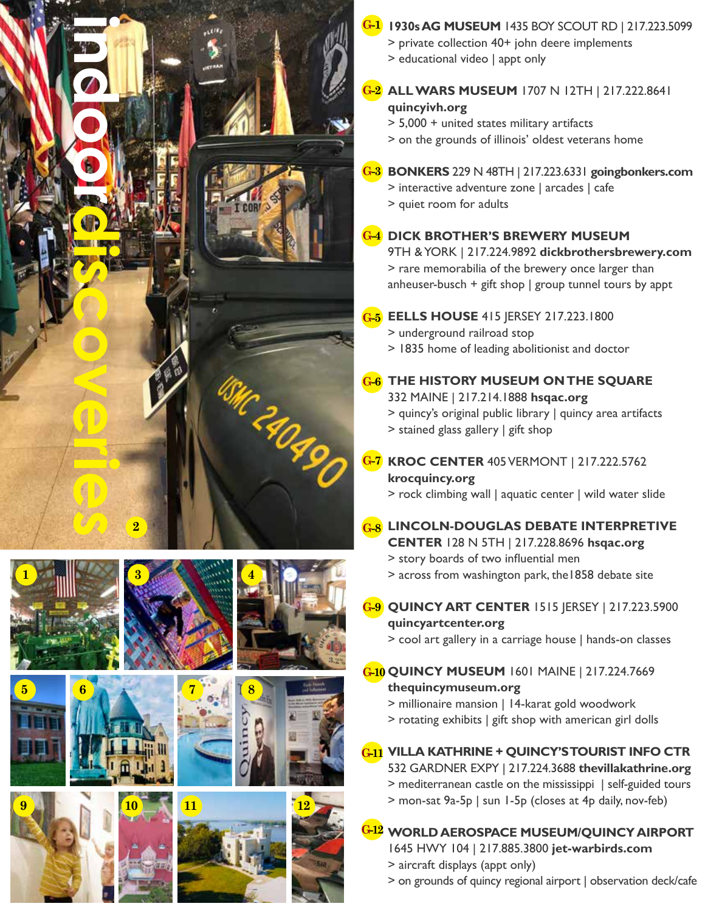



**9**













## **1930s AG MUSEUM** 1435 BOY SCOUT RD | 217.223.5099 **G-1**

- > private collection 40+ john deere implements
- > educational video | appt only
- **ALL WARS MUSEUM** 1707 N 12TH | 217.222.8641 **G-2 quincyivh.org**

> 5,000 + united states military artifacts

> on the grounds of illinois' oldest veterans home

## **BONKERS** 229 N 48TH | 217.223.6331 **goingbonkers.com G-3**

- > interactive adventure zone | arcades | cafe
- > quiet room for adults

## **DICK BROTHER'S BREWERY MUSEUM G-4**

9TH & YORK | 217.224.9892 **dickbrothersbrewery.com** > rare memorabilia of the brewery once larger than anheuser-busch + gift shop  $|$  group tunnel tours by appt

### **EELLS HOUSE** 415 JERSEY 217.223.1800 **G-5**

> underground railroad stop

> 1835 home of leading abolitionist and doctor

## **THE HISTORY MUSEUM ON THE SQUARE G-6**

332 MAINE | 217.214.1888 **hsqac.org** > quincy's original public library | quincy area artifacts > stained glass gallery | gift shop

# **KROC CENTER** 405 VERMONT | 217.222.5762 **G-7 krocquincy.org**

> rock climbing wall | aquatic center | wild water slide

- **LINCOLN-DOUGLAS DEBATE INTERPRETIVE G-8 CENTER** 128 N 5TH | 217.228.8696 **hsqac.org**
	- > story boards of two influential men
	- > across from washington park, the1858 debate site

**QUINCY ART CENTER** 1515 JERSEY | 217.223.5900 **G-9 quincyartcenter.org**

> cool art gallery in a carriage house | hands-on classes

## **QUINCY MUSEUM** 1601 MAINE | 217.224.7669 **G-10 thequincymuseum.org**

- > millionaire mansion | 14-karat gold woodwork
- > rotating exhibits | gift shop with american girl dolls

### **VILLA KATHRINE + QUINCY'S TOURIST INFO CTR G-11**

532 GARDNER EXPY | 217.224.3688 **thevillakathrine.org**

- > mediterranean castle on the mississippi | self-guided tours
- > mon-sat 9a-5p | sun 1-5p (closes at 4p daily, nov-feb)

# **WORLD AEROSPACE MUSEUM/QUINCY AIRPORT G-12**

1645 HWY 104 | 217.885.3800 **jet-warbirds.com** > aircraft displays (appt only)

> on grounds of quincy regional airport | observation deck/cafe







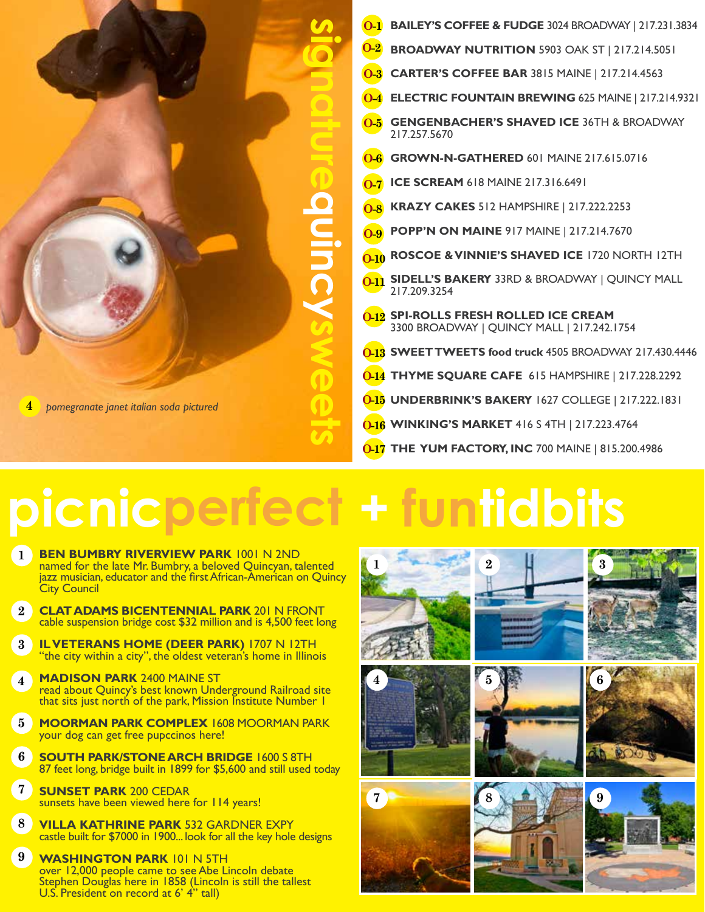

- **BAILEY'S COFFEE & FUDGE** 3024 BROADWAY | 217.231.3834 **O-1**
- **BROADWAY NUTRITION** 5903 OAK ST | 217.214.5051 **O-2**
- **CARTER'S COFFEE BAR** 3815 MAINE | 217.214.4563 **O-3**
- **ELECTRIC FOUNTAIN BREWING** 625 MAINE | 217.214.9321 **O-4**
- **GENGENBACHER'S SHAVED ICE** 36TH & BROADWAY 217.257.5670 **O-5**
- **GROWN-N-GATHERED** 601 MAINE 217.615.0716 **O-6**
- **O-7 ICE SCREAM** 618 MAINE 217.316.6491
- **KRAZY CAKES** 512 HAMPSHIRE | 217.222.2253 **O-8**
- **POPP'N ON MAINE** 917 MAINE | 217.214.7670 **O-9**
- **ROSCOE & VINNIE'S SHAVED ICE** 1720 NORTH 12TH **O-10**
- **O-11** SIDELL'S BAKERY 33RD & BROADWAY | QUINCY MALL 217.209.3254
- **O-12** SPI-ROLLS FRESH ROLLED ICE CREAM 3300 BROADWAY | QUINCY MALL | 217.242.1754
- **O-13 SWEET TWEETS food truck 4505 BROADWAY 217.430.4446**
- **0-14 THYME SQUARE CAFE** 615 HAMPSHIRE | 217.228.2292
- **UNDERBRINK'S BAKERY** 1627 COLLEGE | 217.222.1831 **O-15**
- **WINKING'S MARKET** 416 S 4TH | 217.223.4764 **O-16**
- **Q-17 THE YUM FACTORY, INC 700 MAINE | 815.200.4986**

# **picnicperfect + funtidbits**

- **BEN BUMBRY RIVERVIEW PARK** 1001 N 2ND named for the late Mr. Bumbry, a beloved Quincyan, talented jazz musician, educator and the first African-American on Quincy City Council **1**
- **CLAT ADAMS BICENTENNIAL PARK** 201 N FRONT cable suspension bridge cost \$32 million and is 4,500 feet long **2**
- **IL VETERANS HOME (DEER PARK)** 1707 N 12TH "the city within a city", the oldest veteran's home in Illinois **3**
- **MADISON PARK** 2400 MAINE ST read about Quincy's best known Underground Railroad site that sits just north of the park, Mission Institute Number 1 **4**
- **MOORMAN PARK COMPLEX** 1608 MOORMAN PARK your dog can get free pupccinos here! **5**
- **SOUTH PARK/STONE ARCH BRIDGE** 1600 S 8TH 87 feet long, bridge built in 1899 for \$5,600 and still used today **6**
- **SUNSET PARK** 200 CEDAR sunsets have been viewed here for 114 years! **7**
- **VILLA KATHRINE PARK** 532 GARDNER EXPY castle built for \$7000 in 1900... look for all the key hole designs **8**
- **WASHINGTON PARK** 101 N 5TH over 12,000 people came to see Abe Lincoln debate Stephen Douglas here in 1858 (Lincoln is still the tallest U.S. President on record at 6' 4" tall) **9**

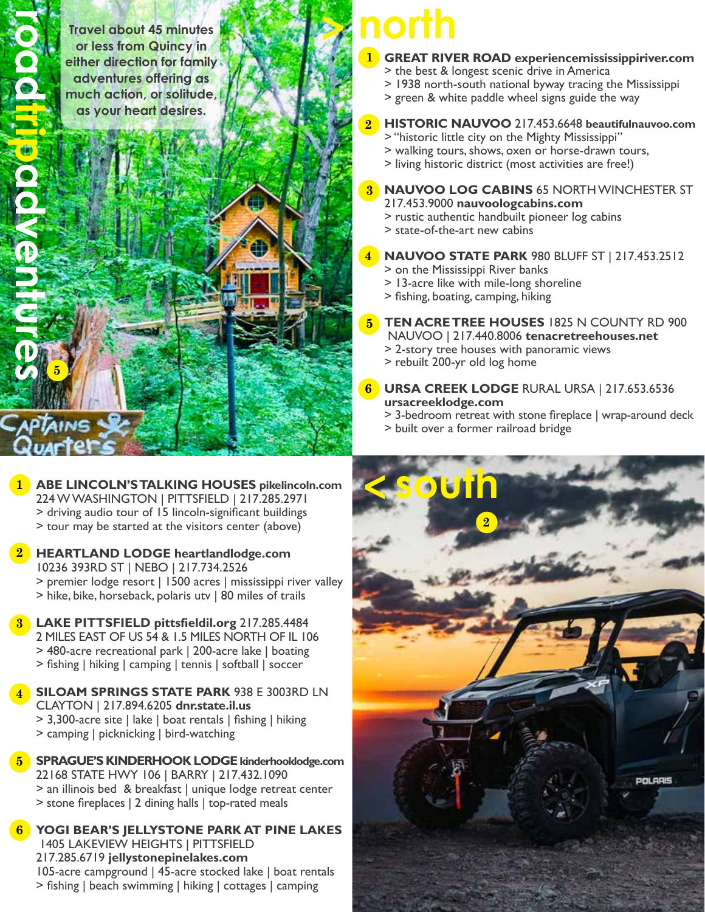**roadtripadventures**

**5**

**Travel about 45 minutes or less from Quincy in either direction for family adventures offering as much action, or solitude, as your heart desires.**



- **GREAT RIVER ROAD experiencemississippiriver.com 1**
	- > the best & longest scenic drive in America
	- > 1938 north-south national byway tracing the Mississippi
	- > green & white paddle wheel signs guide the way
- **HISTORIC NAUVOO** 217.453.6648 **beautifulnauvoo.com 2**
	- > "historic little city on the Mighty Mississippi"
	- > walking tours, shows, oxen or horse-drawn tours,
	- > living historic district (most activities are free!)
- **NAUVOO LOG CABINS** 65 NORTH WINCHESTER ST 217.453.9000 **nauvoologcabins.com 3**
	- > rustic authentic handbuilt pioneer log cabins
	- > state-of-the-art new cabins
- **NAUVOO STATE PARK** 980 BLUFF ST | 217.453.2512 **4**
	- > on the Mississippi River banks
	- > 13-acre like with mile-long shoreline
	- > fishing, boating, camping, hiking
- **TEN ACRE TREE HOUSES** 1825 N COUNTY RD 900 NAUVOO | 217.440.8006 **tenacretreehouses.net 5**
	- > 2-story tree houses with panoramic views
	- > rebuilt 200-yr old log home
- **URSA CREEK LODGE** RURAL URSA | 217.653.6536 **ursacreeklodge.com 6**
	- > 3-bedroom retreat with stone fireplace | wrap-around deck
	- > built over a former railroad bridge



- **ABE LINCOLN'S TALKING HOUSES pikelincoln.com 1** 224 W WASHINGTON | PITTSFIELD | 217.285.2971 > driving audio tour of 15 lincoln-significant buildings > tour may be started at the visitors center (above)
- **HEARTLAND LODGE heartlandlodge.com** 10236 393RD ST | NEBO | 217.734.2526 > premier lodge resort | 1500 acres | mississippi river valley > hike, bike, horseback, polaris utv | 80 miles of trails **2**
- **LAKE PITTSFIELD pittsfieldil.org** 217.285.4484 **3** 2 MILES EAST OF US 54 & 1.5 MILES NORTH OF IL 106 > 480-acre recreational park | 200-acre lake | boating > fishing | hiking | camping | tennis | softball | soccer
- **SILOAM SPRINGS STATE PARK** 938 E 3003RD LN CLAYTON | 217.894.6205 **dnr.state.il.us** > 3,300-acre site | lake | boat rentals | fishing | hiking > camping | picknicking | bird-watching **4**
- **SPRAGUE'S KINDERHOOK LODGE kinderhooklodge.com** 22168 STATE HWY 106 | BARRY | 217.432.1090 > an illinois bed & breakfast | unique lodge retreat center > stone fireplaces | 2 dining halls | top-rated meals **5**
- **YOGI BEAR'S JELLYSTONE PARK AT PINE LAKES 6** 1405 LAKEVIEW HEIGHTS | PITTSFIELD 217.285.6719 **jellystonepinelakes.com** 105-acre campground | 45-acre stocked lake | boat rentals > fishing | beach swimming | hiking | cottages | camping